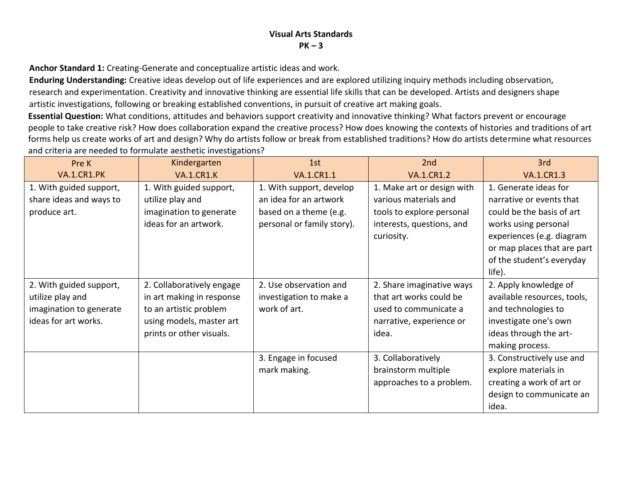**Anchor Standard 1:** Creating-Generate and conceptualize artistic ideas and work.

**Enduring Understanding:** Creative ideas develop out of life experiences and are explored utilizing inquiry methods including observation, research and experimentation. Creativity and innovative thinking are essential life skills that can be developed. Artists and designers shape artistic investigations, following or breaking established conventions, in pursuit of creative art making goals.

**Essential Question:** What conditions, attitudes and behaviors support creativity and innovative thinking? What factors prevent or encourage people to take creative risk? How does collaboration expand the creative process? How does knowing the contexts of histories and traditions of art forms help us create works of art and design? Why do artists follow or break from established traditions? How do artists determine what resources and criteria are needed to formulate aesthetic investigations?

| Pre K                   | Kindergarten              | 1st                        | 2nd                        | 3rd                         |
|-------------------------|---------------------------|----------------------------|----------------------------|-----------------------------|
| VA.1.CR1.PK             | <b>VA.1.CR1.K</b>         | <b>VA.1.CR1.1</b>          | <b>VA.1.CR1.2</b>          | <b>VA.1.CR1.3</b>           |
| 1. With guided support, | 1. With guided support,   | 1. With support, develop   | 1. Make art or design with | 1. Generate ideas for       |
| share ideas and ways to | utilize play and          | an idea for an artwork     | various materials and      | narrative or events that    |
| produce art.            | imagination to generate   | based on a theme (e.g.     | tools to explore personal  | could be the basis of art   |
|                         | ideas for an artwork.     | personal or family story). | interests, questions, and  | works using personal        |
|                         |                           |                            | curiosity.                 | experiences (e.g. diagram   |
|                         |                           |                            |                            | or map places that are part |
|                         |                           |                            |                            | of the student's everyday   |
|                         |                           |                            |                            | life).                      |
| 2. With guided support, | 2. Collaboratively engage | 2. Use observation and     | 2. Share imaginative ways  | 2. Apply knowledge of       |
| utilize play and        | in art making in response | investigation to make a    | that art works could be    | available resources, tools, |
| imagination to generate | to an artistic problem    | work of art.               | used to communicate a      | and technologies to         |
| ideas for art works.    | using models, master art  |                            | narrative, experience or   | investigate one's own       |
|                         | prints or other visuals.  |                            | idea.                      | ideas through the art-      |
|                         |                           |                            |                            | making process.             |
|                         |                           | 3. Engage in focused       | 3. Collaboratively         | 3. Constructively use and   |
|                         |                           | mark making.               | brainstorm multiple        | explore materials in        |
|                         |                           |                            | approaches to a problem.   | creating a work of art or   |
|                         |                           |                            |                            | design to communicate an    |
|                         |                           |                            |                            | idea.                       |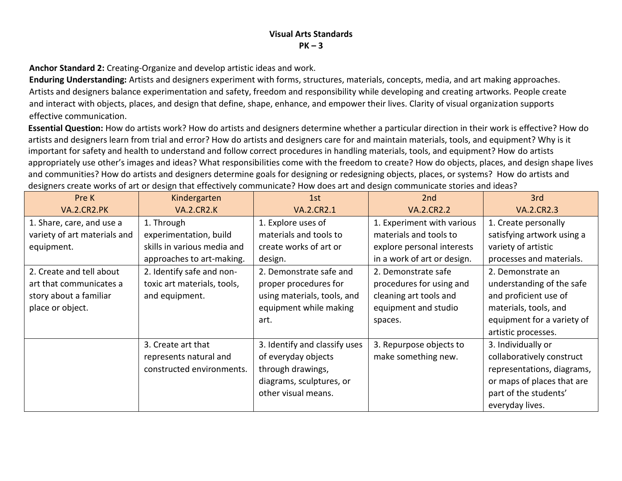**Anchor Standard 2:** Creating-Organize and develop artistic ideas and work.

**Enduring Understanding:** Artists and designers experiment with forms, structures, materials, concepts, media, and art making approaches. Artists and designers balance experimentation and safety, freedom and responsibility while developing and creating artworks. People create and interact with objects, places, and design that define, shape, enhance, and empower their lives. Clarity of visual organization supports effective communication.

**Essential Question:** How do artists work? How do artists and designers determine whether a particular direction in their work is effective? How do artists and designers learn from trial and error? How do artists and designers care for and maintain materials, tools, and equipment? Why is it important for safety and health to understand and follow correct procedures in handling materials, tools, and equipment? How do artists appropriately use other's images and ideas? What responsibilities come with the freedom to create? How do objects, places, and design shape lives and communities? How do artists and designers determine goals for designing or redesigning objects, places, or systems? How do artists and designers create works of art or design that effectively communicate? How does art and design communicate stories and ideas?

| Pre K                        | Kindergarten                | 1st                           | 2nd                         | 3rd                        |
|------------------------------|-----------------------------|-------------------------------|-----------------------------|----------------------------|
| <b>VA.2.CR2.PK</b>           | <b>VA.2.CR2.K</b>           | <b>VA.2.CR2.1</b>             | <b>VA.2.CR2.2</b>           | <b>VA.2.CR2.3</b>          |
| 1. Share, care, and use a    | 1. Through                  | 1. Explore uses of            | 1. Experiment with various  | 1. Create personally       |
| variety of art materials and | experimentation, build      | materials and tools to        | materials and tools to      | satisfying artwork using a |
| equipment.                   | skills in various media and | create works of art or        | explore personal interests  | variety of artistic        |
|                              | approaches to art-making.   | design.                       | in a work of art or design. | processes and materials.   |
| 2. Create and tell about     | 2. Identify safe and non-   | 2. Demonstrate safe and       | 2. Demonstrate safe         | 2. Demonstrate an          |
| art that communicates a      | toxic art materials, tools, | proper procedures for         | procedures for using and    | understanding of the safe  |
| story about a familiar       | and equipment.              | using materials, tools, and   | cleaning art tools and      | and proficient use of      |
| place or object.             |                             | equipment while making        | equipment and studio        | materials, tools, and      |
|                              |                             | art.                          | spaces.                     | equipment for a variety of |
|                              |                             |                               |                             | artistic processes.        |
|                              | 3. Create art that          | 3. Identify and classify uses | 3. Repurpose objects to     | 3. Individually or         |
|                              | represents natural and      | of everyday objects           | make something new.         | collaboratively construct  |
|                              | constructed environments.   | through drawings,             |                             | representations, diagrams, |
|                              |                             | diagrams, sculptures, or      |                             | or maps of places that are |
|                              |                             | other visual means.           |                             | part of the students'      |
|                              |                             |                               |                             | everyday lives.            |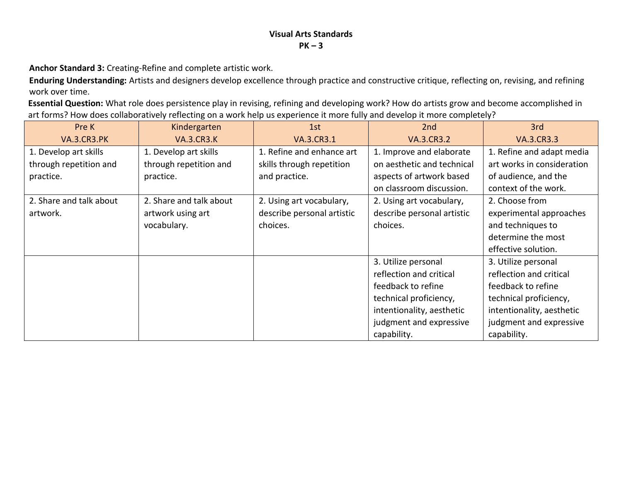**Anchor Standard 3:** Creating-Refine and complete artistic work.

**Enduring Understanding:** Artists and designers develop excellence through practice and constructive critique, reflecting on, revising, and refining work over time.

**Essential Question:** What role does persistence play in revising, refining and developing work? How do artists grow and become accomplished in art forms? How does collaboratively reflecting on a work help us experience it more fully and develop it more completely?

| Pre K                   | Kindergarten            | 1st                        | 2nd                        | 3rd                        |
|-------------------------|-------------------------|----------------------------|----------------------------|----------------------------|
| VA.3.CR3.PK             | <b>VA.3.CR3.K</b>       | <b>VA.3.CR3.1</b>          | <b>VA.3.CR3.2</b>          | VA.3.CR3.3                 |
| 1. Develop art skills   | 1. Develop art skills   | 1. Refine and enhance art  | 1. Improve and elaborate   | 1. Refine and adapt media  |
| through repetition and  | through repetition and  | skills through repetition  | on aesthetic and technical | art works in consideration |
| practice.               | practice.               | and practice.              | aspects of artwork based   | of audience, and the       |
|                         |                         |                            | on classroom discussion.   | context of the work.       |
| 2. Share and talk about | 2. Share and talk about | 2. Using art vocabulary,   | 2. Using art vocabulary,   | 2. Choose from             |
| artwork.                | artwork using art       | describe personal artistic | describe personal artistic | experimental approaches    |
|                         | vocabulary.             | choices.                   | choices.                   | and techniques to          |
|                         |                         |                            |                            | determine the most         |
|                         |                         |                            |                            | effective solution.        |
|                         |                         |                            | 3. Utilize personal        | 3. Utilize personal        |
|                         |                         |                            | reflection and critical    | reflection and critical    |
|                         |                         |                            | feedback to refine         | feedback to refine         |
|                         |                         |                            | technical proficiency,     | technical proficiency,     |
|                         |                         |                            | intentionality, aesthetic  | intentionality, aesthetic  |
|                         |                         |                            | judgment and expressive    | judgment and expressive    |
|                         |                         |                            | capability.                | capability.                |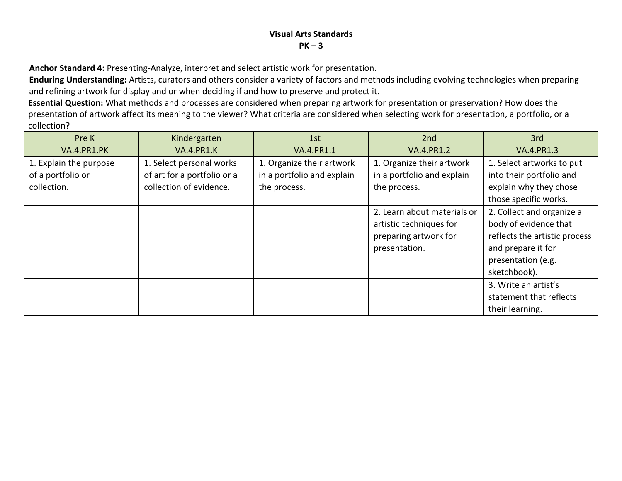**Anchor Standard 4:** Presenting-Analyze, interpret and select artistic work for presentation.

**Enduring Understanding:** Artists, curators and others consider a variety of factors and methods including evolving technologies when preparing and refining artwork for display and or when deciding if and how to preserve and protect it.

**Essential Question:** What methods and processes are considered when preparing artwork for presentation or preservation? How does the presentation of artwork affect its meaning to the viewer? What criteria are considered when selecting work for presentation, a portfolio, or a collection?

| Pre K                  | Kindergarten                | 1st                        | 2nd                         | 3rd                           |
|------------------------|-----------------------------|----------------------------|-----------------------------|-------------------------------|
| VA.4.PR1.PK            | <b>VA.4.PR1.K</b>           | <b>VA.4.PR1.1</b>          | <b>VA.4.PR1.2</b>           | <b>VA.4.PR1.3</b>             |
| 1. Explain the purpose | 1. Select personal works    | 1. Organize their artwork  | 1. Organize their artwork   | 1. Select artworks to put     |
| of a portfolio or      | of art for a portfolio or a | in a portfolio and explain | in a portfolio and explain  | into their portfolio and      |
| collection.            | collection of evidence.     | the process.               | the process.                | explain why they chose        |
|                        |                             |                            |                             | those specific works.         |
|                        |                             |                            | 2. Learn about materials or | 2. Collect and organize a     |
|                        |                             |                            | artistic techniques for     | body of evidence that         |
|                        |                             |                            | preparing artwork for       | reflects the artistic process |
|                        |                             |                            | presentation.               | and prepare it for            |
|                        |                             |                            |                             | presentation (e.g.            |
|                        |                             |                            |                             | sketchbook).                  |
|                        |                             |                            |                             | 3. Write an artist's          |
|                        |                             |                            |                             | statement that reflects       |
|                        |                             |                            |                             | their learning.               |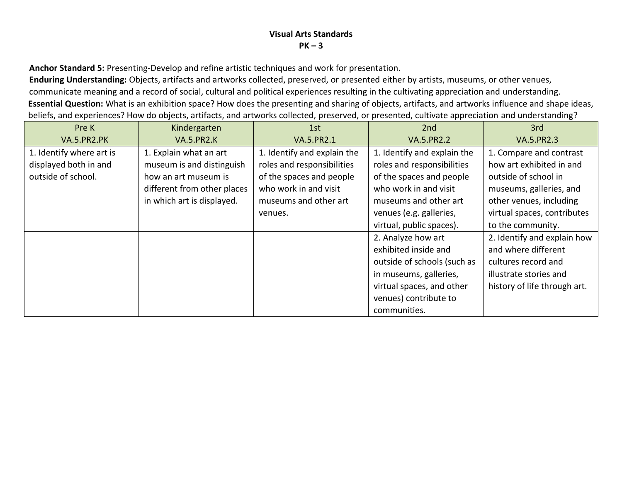**Anchor Standard 5:** Presenting-Develop and refine artistic techniques and work for presentation.

**Enduring Understanding:** Objects, artifacts and artworks collected, preserved, or presented either by artists, museums, or other venues, communicate meaning and a record of social, cultural and political experiences resulting in the cultivating appreciation and understanding. **Essential Question:** What is an exhibition space? How does the presenting and sharing of objects, artifacts, and artworks influence and shape ideas, beliefs, and experiences? How do objects, artifacts, and artworks collected, preserved, or presented, cultivate appreciation and understanding?

| Pre K                    | Kindergarten                | 1st                         | 2nd                         | 3rd                          |
|--------------------------|-----------------------------|-----------------------------|-----------------------------|------------------------------|
| VA.5.PR2.PK              | <b>VA.5.PR2.K</b>           | <b>VA.5.PR2.1</b>           | <b>VA.5.PR2.2</b>           | VA.5.PR2.3                   |
| 1. Identify where art is | 1. Explain what an art      | 1. Identify and explain the | 1. Identify and explain the | 1. Compare and contrast      |
| displayed both in and    | museum is and distinguish   | roles and responsibilities  | roles and responsibilities  | how art exhibited in and     |
| outside of school.       | how an art museum is        | of the spaces and people    | of the spaces and people    | outside of school in         |
|                          | different from other places | who work in and visit       | who work in and visit       | museums, galleries, and      |
|                          | in which art is displayed.  | museums and other art       | museums and other art       | other venues, including      |
|                          |                             | venues.                     | venues (e.g. galleries,     | virtual spaces, contributes  |
|                          |                             |                             | virtual, public spaces).    | to the community.            |
|                          |                             |                             | 2. Analyze how art          | 2. Identify and explain how  |
|                          |                             |                             | exhibited inside and        | and where different          |
|                          |                             |                             | outside of schools (such as | cultures record and          |
|                          |                             |                             | in museums, galleries,      | illustrate stories and       |
|                          |                             |                             | virtual spaces, and other   | history of life through art. |
|                          |                             |                             | venues) contribute to       |                              |
|                          |                             |                             | communities.                |                              |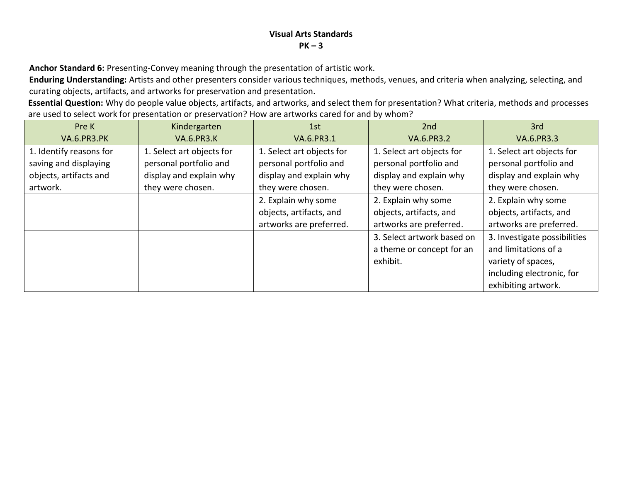**Anchor Standard 6:** Presenting-Convey meaning through the presentation of artistic work.

**Enduring Understanding:** Artists and other presenters consider various techniques, methods, venues, and criteria when analyzing, selecting, and curating objects, artifacts, and artworks for preservation and presentation.

**Essential Question:** Why do people value objects, artifacts, and artworks, and select them for presentation? What criteria, methods and processes are used to select work for presentation or preservation? How are artworks cared for and by whom?

| Pre K                   | Kindergarten              | 1st                       | 2 <sub>nd</sub>            | 3rd                          |
|-------------------------|---------------------------|---------------------------|----------------------------|------------------------------|
| VA.6.PR3.PK             | <b>VA.6.PR3.K</b>         | VA.6.PR3.1                | <b>VA.6.PR3.2</b>          | VA.6.PR3.3                   |
| 1. Identify reasons for | 1. Select art objects for | 1. Select art objects for | 1. Select art objects for  | 1. Select art objects for    |
| saving and displaying   | personal portfolio and    | personal portfolio and    | personal portfolio and     | personal portfolio and       |
| objects, artifacts and  | display and explain why   | display and explain why   | display and explain why    | display and explain why      |
| artwork.                | they were chosen.         | they were chosen.         | they were chosen.          | they were chosen.            |
|                         |                           | 2. Explain why some       | 2. Explain why some        | 2. Explain why some          |
|                         |                           | objects, artifacts, and   | objects, artifacts, and    | objects, artifacts, and      |
|                         |                           | artworks are preferred.   | artworks are preferred.    | artworks are preferred.      |
|                         |                           |                           | 3. Select artwork based on | 3. Investigate possibilities |
|                         |                           |                           | a theme or concept for an  | and limitations of a         |
|                         |                           |                           | exhibit.                   | variety of spaces,           |
|                         |                           |                           |                            | including electronic, for    |
|                         |                           |                           |                            | exhibiting artwork.          |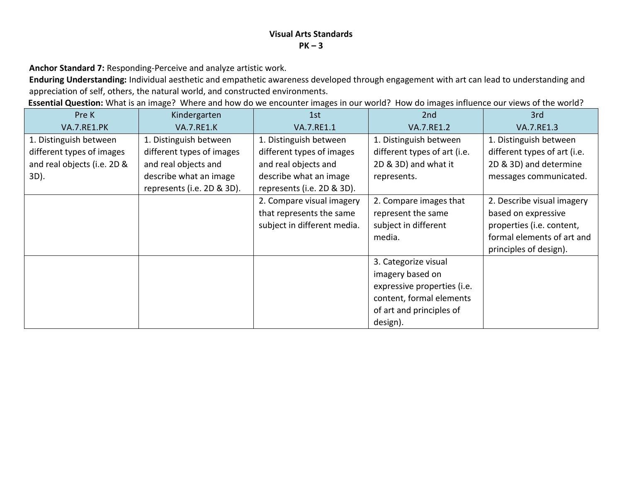**Anchor Standard 7:** Responding-Perceive and analyze artistic work.

**Enduring Understanding:** Individual aesthetic and empathetic awareness developed through engagement with art can lead to understanding and appreciation of self, others, the natural world, and constructed environments.

**Essential Question:** What is an image? Where and how do we encounter images in our world? How do images influence our views of the world?

| Pre K                       | Kindergarten               | 1st                         | 2nd                          | 3rd                          |
|-----------------------------|----------------------------|-----------------------------|------------------------------|------------------------------|
| VA.7.RE1.PK                 | <b>VA.7.RE1.K</b>          | VA.7.RE1.1                  | <b>VA.7.RE1.2</b>            | <b>VA.7.RE1.3</b>            |
| 1. Distinguish between      | 1. Distinguish between     | 1. Distinguish between      | 1. Distinguish between       | 1. Distinguish between       |
| different types of images   | different types of images  | different types of images   | different types of art (i.e. | different types of art (i.e. |
| and real objects (i.e. 2D & | and real objects and       | and real objects and        | 2D & 3D) and what it         | 2D & 3D) and determine       |
| 3D).                        | describe what an image     | describe what an image      | represents.                  | messages communicated.       |
|                             | represents (i.e. 2D & 3D). | represents (i.e. 2D & 3D).  |                              |                              |
|                             |                            | 2. Compare visual imagery   | 2. Compare images that       | 2. Describe visual imagery   |
|                             |                            | that represents the same    | represent the same           | based on expressive          |
|                             |                            | subject in different media. | subject in different         | properties (i.e. content,    |
|                             |                            |                             | media.                       | formal elements of art and   |
|                             |                            |                             |                              | principles of design).       |
|                             |                            |                             | 3. Categorize visual         |                              |
|                             |                            |                             | imagery based on             |                              |
|                             |                            |                             | expressive properties (i.e.  |                              |
|                             |                            |                             | content, formal elements     |                              |
|                             |                            |                             | of art and principles of     |                              |
|                             |                            |                             | design).                     |                              |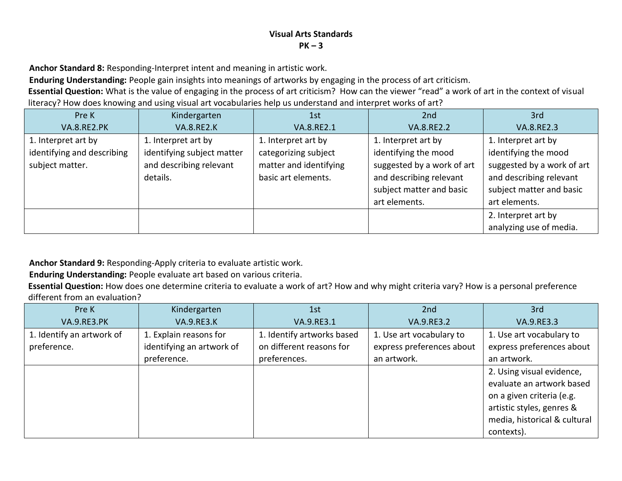**Anchor Standard 8:** Responding-Interpret intent and meaning in artistic work.

**Enduring Understanding:** People gain insights into meanings of artworks by engaging in the process of art criticism.

**Essential Question:** What is the value of engaging in the process of art criticism? How can the viewer "read" a work of art in the context of visual literacy? How does knowing and using visual art vocabularies help us understand and interpret works of art?

| Pre K                      | Kindergarten               | 1st                    | 2nd                        | 3rd                        |
|----------------------------|----------------------------|------------------------|----------------------------|----------------------------|
| VA.8.RE2.PK                | <b>VA.8.RE2.K</b>          | VA.8.RE2.1             | VA.8.RE2.2                 | VA.8.RE2.3                 |
| 1. Interpret art by        | 1. Interpret art by        | 1. Interpret art by    | 1. Interpret art by        | 1. Interpret art by        |
| identifying and describing | identifying subject matter | categorizing subject   | identifying the mood       | identifying the mood       |
| subject matter.            | and describing relevant    | matter and identifying | suggested by a work of art | suggested by a work of art |
|                            | details.                   | basic art elements.    | and describing relevant    | and describing relevant    |
|                            |                            |                        | subject matter and basic   | subject matter and basic   |
|                            |                            |                        | art elements.              | art elements.              |
|                            |                            |                        |                            | 2. Interpret art by        |
|                            |                            |                        |                            | analyzing use of media.    |

# **Anchor Standard 9:** Responding-Apply criteria to evaluate artistic work.

# **Enduring Understanding:** People evaluate art based on various criteria.

**Essential Question:** How does one determine criteria to evaluate a work of art? How and why might criteria vary? How is a personal preference different from an evaluation?

| Pre K                     | Kindergarten              | 1st                        | 2nd                       | 3rd                          |
|---------------------------|---------------------------|----------------------------|---------------------------|------------------------------|
| VA.9.RE3.PK               | <b>VA.9.RE3.K</b>         | VA.9.RE3.1                 | VA.9.RE3.2                | VA.9.RE3.3                   |
| 1. Identify an artwork of | 1. Explain reasons for    | 1. Identify artworks based | 1. Use art vocabulary to  | 1. Use art vocabulary to     |
| preference.               | identifying an artwork of | on different reasons for   | express preferences about | express preferences about    |
|                           | preference.               | preferences.               | an artwork.               | an artwork.                  |
|                           |                           |                            |                           | 2. Using visual evidence,    |
|                           |                           |                            |                           | evaluate an artwork based    |
|                           |                           |                            |                           | on a given criteria (e.g.    |
|                           |                           |                            |                           | artistic styles, genres &    |
|                           |                           |                            |                           | media, historical & cultural |
|                           |                           |                            |                           | contexts).                   |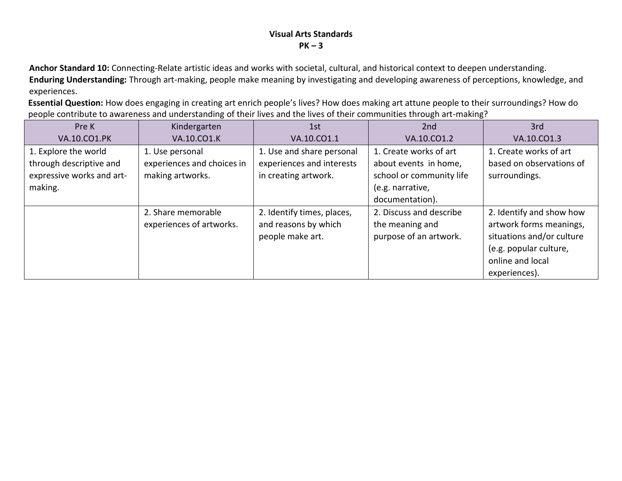**Anchor Standard 10:** Connecting-Relate artistic ideas and works with societal, cultural, and historical context to deepen understanding. **Enduring Understanding:** Through art-making, people make meaning by investigating and developing awareness of perceptions, knowledge, and experiences.

**Essential Question:** How does engaging in creating art enrich people's lives? How does making art attune people to their surroundings? How do people contribute to awareness and understanding of their lives and the lives of their communities through art-making?

| Pre K                     | Kindergarten               | 1st                        | 2nd                      | 3rd                       |
|---------------------------|----------------------------|----------------------------|--------------------------|---------------------------|
| <b>VA.10.CO1.PK</b>       | VA.10.CO1.K                | VA.10.CO1.1                | VA.10.CO1.2              | VA.10.CO1.3               |
| 1. Explore the world      | 1. Use personal            | 1. Use and share personal  | 1. Create works of art   | 1. Create works of art    |
| through descriptive and   | experiences and choices in | experiences and interests  | about events in home,    | based on observations of  |
| expressive works and art- | making artworks.           | in creating artwork.       | school or community life | surroundings.             |
| making.                   |                            |                            | (e.g. narrative,         |                           |
|                           |                            |                            | documentation).          |                           |
|                           | 2. Share memorable         | 2. Identify times, places, | 2. Discuss and describe  | 2. Identify and show how  |
|                           | experiences of artworks.   | and reasons by which       | the meaning and          | artwork forms meanings,   |
|                           |                            | people make art.           | purpose of an artwork.   | situations and/or culture |
|                           |                            |                            |                          | (e.g. popular culture,    |
|                           |                            |                            |                          | online and local          |
|                           |                            |                            |                          | experiences).             |